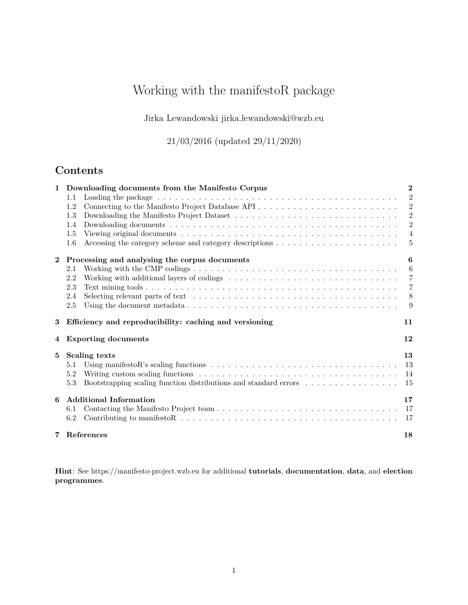# Working with the manifestoR package

Jirka Lewandowski [jirka.lewandowski@wzb.eu](mailto:jirka.lewandowski@wzb.eu)

21/03/2016 (updated 29/11/2020)

## **Contents**

| $\mathbf{1}$ | Downloading documents from the Manifesto Corpus                                                                                     | $\mathbf{2}$   |
|--------------|-------------------------------------------------------------------------------------------------------------------------------------|----------------|
|              | $1.1\,$                                                                                                                             | $\overline{2}$ |
|              | Connecting to the Manifesto Project Database API<br>1.2                                                                             | $\overline{2}$ |
|              | 1.3                                                                                                                                 | 2              |
|              | 1.4                                                                                                                                 | $\overline{2}$ |
|              | 1.5                                                                                                                                 | $\overline{4}$ |
|              | 1.6                                                                                                                                 | -5             |
| $\mathbf{2}$ | Processing and analysing the corpus documents                                                                                       | 6              |
|              | Working with the CMP codings $\dots \dots \dots \dots \dots \dots \dots \dots \dots \dots \dots \dots \dots \dots \dots$<br>2.1     | 6              |
|              | 2.2                                                                                                                                 | $\overline{7}$ |
|              | 2.3                                                                                                                                 | $\overline{7}$ |
|              | Selecting relevant parts of text $\dots \dots \dots \dots \dots \dots \dots \dots \dots \dots \dots \dots \dots \dots \dots$<br>2.4 | 8              |
|              | 2.5                                                                                                                                 | 9              |
| 3            | Efficiency and reproducibility: caching and versioning                                                                              | 11             |
| 4            | <b>Exporting documents</b>                                                                                                          | 12             |
| 5            | Scaling texts                                                                                                                       | 13             |
|              | 5.1                                                                                                                                 | 13             |
|              | 5.2                                                                                                                                 | 14             |
|              | 5.3<br>Bootstrapping scaling function distributions and standard errors                                                             | 15             |
|              |                                                                                                                                     |                |
| 6            | <b>Additional Information</b>                                                                                                       | 17             |
|              | 6.1                                                                                                                                 | 17             |
|              | 6.2                                                                                                                                 | 17             |

**Hint**: See<https://manifesto-project.wzb.eu> for additional **tutorials**, **documentation**, **data**, and **election programmes**.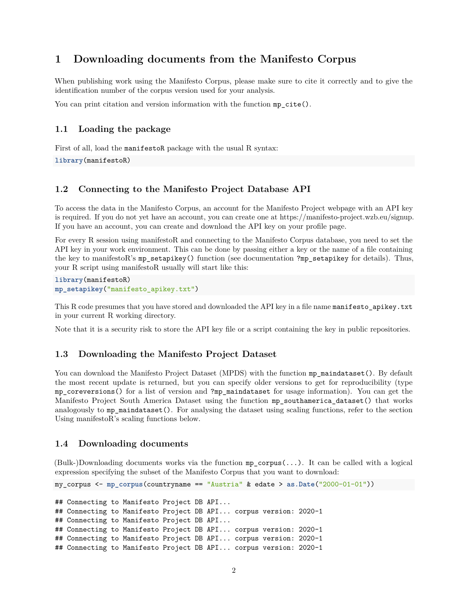## <span id="page-1-0"></span>**1 Downloading documents from the Manifesto Corpus**

When publishing work using the Manifesto Corpus, please make sure to cite it correctly and to give the identification number of the corpus version used for your analysis.

You can print citation and version information with the function  $mp\_cite()$ .

#### <span id="page-1-1"></span>**1.1 Loading the package**

First of all, load the manifestoR package with the usual R syntax:

**library**(manifestoR)

#### <span id="page-1-2"></span>**1.2 Connecting to the Manifesto Project Database API**

To access the data in the Manifesto Corpus, an account for the Manifesto Project webpage with an API key is required. If you do not yet have an account, you can create one at https://manifesto-project.wzb.eu/signup. If you have an account, you can create and download the API key on your profile page.

For every R session using manifestoR and connecting to the Manifesto Corpus database, you need to set the API key in your work environment. This can be done by passing either a key or the name of a file containing the key to manifestoR's mp\_setapikey() function (see documentation ?mp\_setapikey for details). Thus, your R script using manifestoR usually will start like this:

**library**(manifestoR) **mp\_setapikey**("manifesto\_apikey.txt")

This R code presumes that you have stored and downloaded the API key in a file name manifesto\_apikey.txt in your current R working directory.

<span id="page-1-6"></span>Note that it is a security risk to store the API key file or a script containing the key in public repositories.

#### <span id="page-1-3"></span>**1.3 Downloading the Manifesto Project Dataset**

You can download the Manifesto Project Dataset (MPDS) with the function mp\_maindataset(). By default the most recent update is returned, but you can specify older versions to get for reproducibility (type mp\_coreversions() for a list of version and ?mp\_maindataset for usage information). You can get the Manifesto Project South America Dataset using the function mp\_southamerica\_dataset() that works analogously to mp\_maindataset(). For analysing the dataset using scaling functions, refer to the section [Using manifestoR's scaling functions](#page-12-2) below.

#### <span id="page-1-5"></span><span id="page-1-4"></span>**1.4 Downloading documents**

(Bulk-)Downloading documents works via the function mp\_corpus(...). It can be called with a logical expression specifying the subset of the Manifesto Corpus that you want to download:

```
my_corpus <- mp_corpus(countryname == "Austria" & edate > as.Date("2000-01-01"))
```
## Connecting to Manifesto Project DB API... ## Connecting to Manifesto Project DB API... corpus version: 2020-1 ## Connecting to Manifesto Project DB API... ## Connecting to Manifesto Project DB API... corpus version: 2020-1 ## Connecting to Manifesto Project DB API... corpus version: 2020-1 ## Connecting to Manifesto Project DB API... corpus version: 2020-1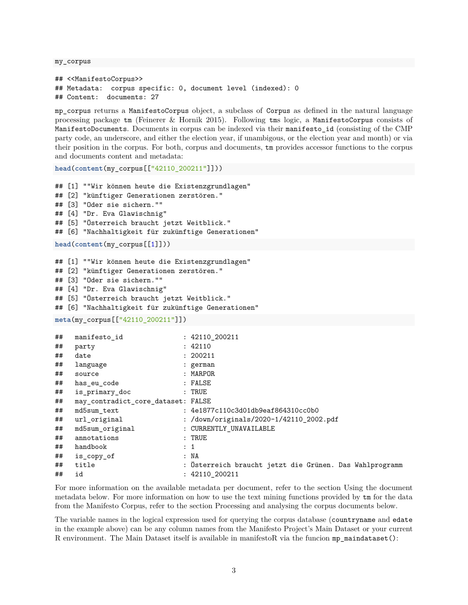my\_corpus

```
## <<ManifestoCorpus>>
## Metadata: corpus specific: 0, document level (indexed): 0
## Content: documents: 27
```
mp\_corpus returns a ManifestoCorpus object, a subclass of Corpus as defined in the natural language processing package tm (Feinerer & Hornik 2015). Following tms logic, a ManifestoCorpus consists of ManifestoDocuments. Documents in corpus can be indexed via their manifesto\_id (consisting of the CMP party code, an underscore, and either the election year, if unambigous, or the election year and month) or via their position in the corpus. For both, corpus and documents, tm provides accessor functions to the corpus and documents content and metadata:

```
head(content(my_corpus[["42110_200211"]]))
```

```
## [1] ""Wir können heute die Existenzgrundlagen"
## [2] "künftiger Generationen zerstören."
## [3] "Oder sie sichern.""
## [4] "Dr. Eva Glawischnig"
## [5] "Österreich braucht jetzt Weitblick."
## [6] "Nachhaltigkeit für zukünftige Generationen"
head(content(my_corpus[[1]]))
## [1] ""Wir können heute die Existenzgrundlagen"
## [2] "künftiger Generationen zerstören."
## [3] "Oder sie sichern.""
## [4] "Dr. Eva Glawischnig"
## [5] "Österreich braucht jetzt Weitblick."
## [6] "Nachhaltigkeit für zukünftige Generationen"
meta(my_corpus[["42110_200211"]])
```

| ## | manifesto id                       | : 42110 200211                                          |
|----|------------------------------------|---------------------------------------------------------|
| ## | party                              | : 42110                                                 |
| ## | date                               | : 200211                                                |
| ## | language                           | : german                                                |
| ## | source                             | : MARPOR                                                |
| ## | has eu code                        | : FALSE                                                 |
| ## | is primary doc                     | $:$ TRUE                                                |
| ## | may contradict core dataset: FALSE |                                                         |
| ## | md5sum_text                        | : 4e1877c110c3d01db9eaf864310cc0b0                      |
| ## | url original                       | : /down/originals/2020-1/42110_2002.pdf                 |
| ## | md5sum original                    | : CURRENTLY_UNAVAILABLE                                 |
| ## | annotations                        | $:$ TRUE                                                |
| ## | handbook                           | : 1                                                     |
| ## | is_copy_of                         | : NA                                                    |
| ## | title                              | : Osterreich braucht jetzt die Grünen. Das Wahlprogramm |
| ## | id                                 | : 42110 200211                                          |

For more information on the available metadata per document, refer to the section [Using the document](#page-8-1) [metadata](#page-8-1) below. For more information on how to use the text mining functions provided by tm for the data from the Manifesto Corpus, refer to the section [Processing and analysing the corpus documents](#page-4-1) below.

The variable names in the logical expression used for querying the corpus database (countryname and edate in the example above) can be any column names from the Manifesto Project's Main Dataset or your current R environment. The Main Dataset itself is available in manifestoR via the funcion mp\_maindataset():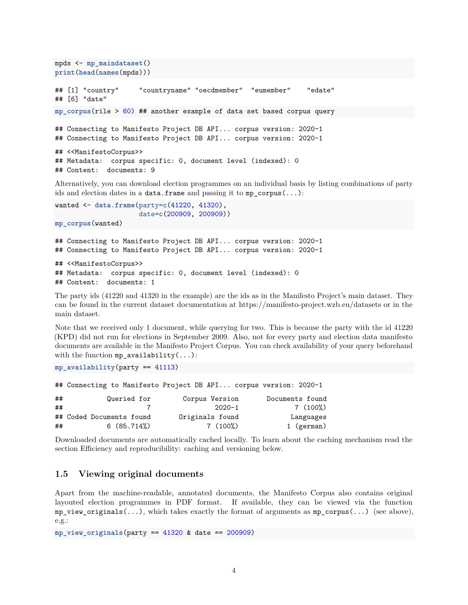```
mpds <- mp_maindataset()
print(head(names(mpds)))
## [1] "country" "countryname" "oecdmember" "eumember" "edate"
## [6] "date"
mp_corpus(rile > 60) ## another example of data set based corpus query
## Connecting to Manifesto Project DB API... corpus version: 2020-1
## Connecting to Manifesto Project DB API... corpus version: 2020-1
## <<ManifestoCorpus>>
## Metadata: corpus specific: 0, document level (indexed): 0
## Content: documents: 9
```
Alternatively, you can download election programmes on an individual basis by listing combinations of party ids and election dates in a data.frame and passing it to  $mp\_corpus(...):$ 

```
wanted <- data.frame(party=c(41220, 41320),
                     date=c(200909, 200909))
mp_corpus(wanted)
```
## Connecting to Manifesto Project DB API... corpus version: 2020-1 ## Connecting to Manifesto Project DB API... corpus version: 2020-1

```
## <<ManifestoCorpus>>
## Metadata: corpus specific: 0, document level (indexed): 0
## Content: documents: 1
```
The party ids (41220 and 41320 in the example) are the ids as in the Manifesto Project's main dataset. They can be found in the current dataset documentation at https://manifesto-project.wzb.eu/datasets or in the main dataset.

Note that we received only 1 document, while querying for two. This is because the party with the id 41220 (KPD) did not run for elections in September 2009. Also, not for every party and election data manifesto documents are available in the Manifesto Project Corpus. You can check availability of your query beforehand with the function mp\_availability $(...):$ 

 $mp$  availability(party ==  $41113$ )

## Connecting to Manifesto Project DB API... corpus version: 2020-1

| ## | Queried for              | Corpus Version  | Documents found |
|----|--------------------------|-----------------|-----------------|
| ## |                          | 2020-1          | 7 (100%)        |
|    | ## Coded Documents found | Originals found | Languages       |
| ## | 6(85.714%)               | 7 (100%)        | 1 (german)      |

Downloaded documents are automatically cached locally. To learn about the caching mechanism read the section [Efficiency and reproducibility: caching and versioning](#page-10-1) below.

#### <span id="page-3-0"></span>**1.5 Viewing original documents**

Apart from the machine-readable, annotated documents, the Manifesto Corpus also contains original layouted election programmes in PDF format. If available, they can be viewed via the function  $mp\_view\_originals(...)$ , which takes exactly the format of arguments as  $mp\_corpus(...)$  [\(see above\)](#page-1-5), e.g.:

**mp\_view\_originals**(party == 41320 & date == 200909)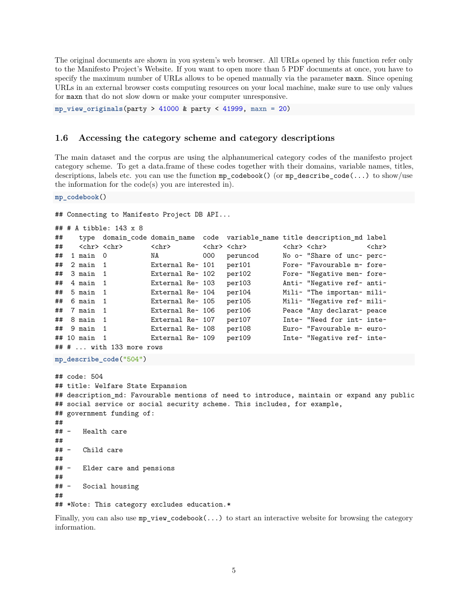The original documents are shown in you system's web browser. All URLs opened by this function refer only to the Manifesto Project's Website. If you want to open more than 5 PDF documents at once, you have to specify the maximum number of URLs allows to be opened manually via the parameter maxn. Since opening URLs in an external browser costs computing resources on your local machine, make sure to use only values for maxn that do not slow down or make your computer unresponsive.

<span id="page-4-2"></span>**mp\_view\_originals**(party > 41000 & party < 41999, maxn = 20)

#### <span id="page-4-0"></span>**1.6 Accessing the category scheme and category descriptions**

The main dataset and the corpus are using the alphanumerical category codes of the manifesto project category scheme. To get a data.frame of these codes together with their domains, variable names, titles, descriptions, labels etc. you can use the function mp\_codebook() (or mp\_describe\_code(...) to show/use the information for the code(s) you are interested in).

**mp\_codebook**()

```
## Connecting to Manifesto Project DB API...
```

```
## # A tibble: 143 x 8
```

| ## |                         |                                |                  |     |                         | type domain_code domain_name code variable_name title description_md label |             |
|----|-------------------------|--------------------------------|------------------|-----|-------------------------|----------------------------------------------------------------------------|-------------|
| ## | <chr> <chr></chr></chr> |                                | $<$ chr $>$      |     | <chr> <chr></chr></chr> | <chr> <chr></chr></chr>                                                    | $<$ chr $>$ |
| ## | $1$ main $0$            |                                | NA               | 000 | peruncod                | No o~ "Share of unc~ perc~                                                 |             |
| ## | $2$ main $1$            |                                | External Re~ 101 |     | per101                  | Fore~ "Favourable m~ fore~                                                 |             |
|    | $\#$ # 3 main 1         |                                | External Re~ 102 |     | per102                  | Fore~ "Negative men~ fore~                                                 |             |
| ## | 4 main 1                |                                | External Re~ 103 |     | per103                  | Anti~ "Negative ref~ anti~                                                 |             |
| ## | 5 main 1                |                                | External Re~ 104 |     | per104                  | Mili~ "The importan~ mili~                                                 |             |
|    | $\#$ # 6 main 1         |                                | External Re~ 105 |     | per105                  | Mili~ "Negative ref~ mili~                                                 |             |
|    | $\#$ # 7 main 1         |                                | External Re~ 106 |     | per106                  | Peace "Any declarat~ peace                                                 |             |
|    | $\#$ # 8 main 1         |                                | External Re~ 107 |     | per107                  | Inte~ "Need for int~ inte~                                                 |             |
|    | $\#$ # 9 main 1         |                                | External Re~ 108 |     | per108                  | Euro~ "Favourable m~ euro~                                                 |             |
|    | $\#$ 10 main 1          |                                | External Re~ 109 |     | per109                  | Inte~ "Negative ref~ inte~                                                 |             |
|    |                         | $\#$ # $\#$ with 133 more rows |                  |     |                         |                                                                            |             |

```
mp_describe_code("504")
```
## code: 504 ## title: Welfare State Expansion ## description\_md: Favourable mentions of need to introduce, maintain or expand any public ## social service or social security scheme. This includes, for example, ## government funding of: ## ## - Health care ## ## - Child care ## ## - Elder care and pensions ## ## - Social housing ## ## \*Note: This category excludes education.\*

<span id="page-4-1"></span>Finally, you can also use  $mp\_view\_codebook(...)$  to start an interactive website for browsing the category information.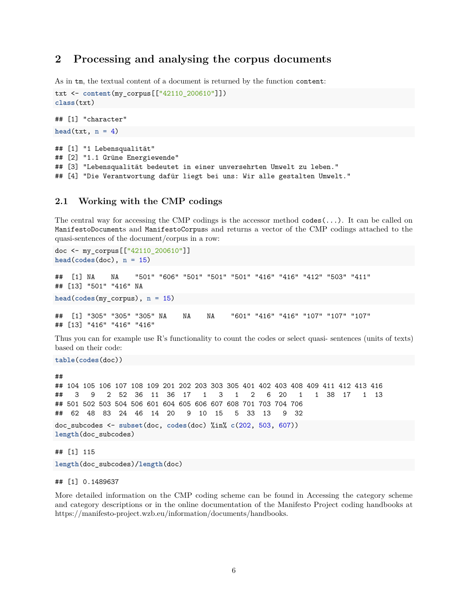## <span id="page-5-0"></span>**2 Processing and analysing the corpus documents**

As in tm, the textual content of a document is returned by the function content:

```
txt <- content(my_corpus[["42110_200610"]])
class(txt)
## [1] "character"
head(\text{txt}, n = 4)## [1] "1 Lebensqualität"
## [2] "1.1 Grüne Energiewende"
## [3] "Lebensqualität bedeutet in einer unversehrten Umwelt zu leben."
## [4] "Die Verantwortung dafür liegt bei uns: Wir alle gestalten Umwelt."
```
#### <span id="page-5-1"></span>**2.1 Working with the CMP codings**

The central way for accessing the CMP codings is the accessor method codes(...). It can be called on ManifestoDocuments and ManifestoCorpuss and returns a vector of the CMP codings attached to the quasi-sentences of the document/corpus in a row:

```
doc <- my_corpus[["42110_200610"]]
head(codes(doc), n = 15)
## [1] NA NA "501" "606" "501" "501" "501" "416" "416" "412" "503" "411"
## [13] "501" "416" NA
head(codes(my_corpus), n = 15)
## [1] "305" "305" "305" NA NA NA "601" "416" "416" "107" "107" "107"
## [13] "416" "416" "416"
```
Thus you can for example use R's functionality to count the codes or select quasi- sentences (units of texts) based on their code:

```
table(codes(doc))
```
## ## 104 105 106 107 108 109 201 202 203 303 305 401 402 403 408 409 411 412 413 416 ## 3 9 2 52 36 11 36 17 1 3 1 2 6 20 1 1 38 17 1 13 ## 501 502 503 504 506 601 604 605 606 607 608 701 703 704 706 ## 62 48 83 24 46 14 20 9 10 15 5 33 13 9 32 doc\_subcodes <- **subset**(doc, **codes**(doc) %in% **c**(202, 503, 607)) **length**(doc\_subcodes)

## [1] 115 **length**(doc\_subcodes)/**length**(doc)

## [1] 0.1489637

More detailed information on the CMP coding scheme can be found in [Accessing the category scheme](#page-4-2) [and category descriptions](#page-4-2) or in the online documentation of the Manifesto Project coding handbooks at https://manifesto-project.wzb.eu/information/documents/handbooks.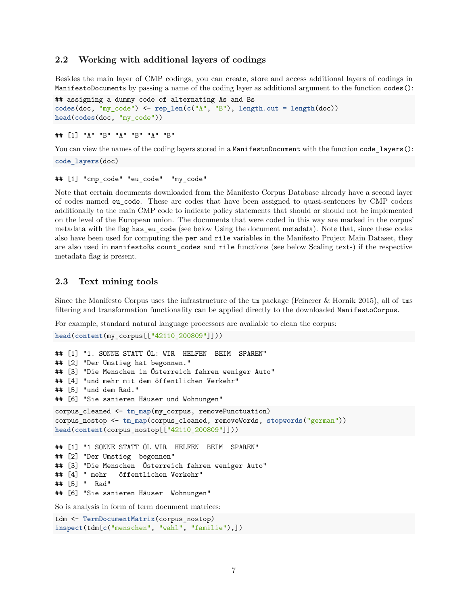#### <span id="page-6-0"></span>**2.2 Working with additional layers of codings**

Besides the main layer of CMP codings, you can create, store and access additional layers of codings in ManifestoDocuments by passing a name of the coding layer as additional argument to the function codes():

```
## assigning a dummy code of alternating As and Bs
codes(doc, "my_code") <- rep_len(c("A", "B"), length.out = length(doc))
head(codes(doc, "my_code"))
```
## [1] "A" "B" "A" "B" "A" "B"

You can view the names of the coding layers stored in a ManifestoDocument with the function code layers():

**code\_layers**(doc)

## [1] "cmp\_code" "eu\_code" "my\_code"

Note that certain documents downloaded from the Manifesto Corpus Database already have a second layer of codes named eu\_code. These are codes that have been assigned to quasi-sentences by CMP coders additionally to the main CMP code to indicate policy statements that should or should not be implemented on the level of the European union. The documents that were coded in this way are marked in the corpus' metadata with the flag has\_eu\_code (see below [Using the document metadata\)](#page-8-1). Note that, since these codes also have been used for computing the per and rile variables in the Manifesto Project Main Dataset, they are also used in manifestoRs count\_codes and rile functions (see below [Scaling texts\)](#page-12-3) if the respective metadata flag is present.

#### <span id="page-6-1"></span>**2.3 Text mining tools**

Since the Manifesto Corpus uses the infrastructure of the tm package (Feinerer & Hornik 2015), all of tms filtering and transformation functionality can be applied directly to the downloaded ManifestoCorpus.

For example, standard natural language processors are available to clean the corpus:

```
head(content(my_corpus[["42110_200809"]]))
```

```
## [1] "1. SONNE STATT ÖL: WIR HELFEN BEIM SPAREN"
## [2] "Der Umstieg hat begonnen."
## [3] "Die Menschen in Österreich fahren weniger Auto"
## [4] "und mehr mit dem öffentlichen Verkehr"
## [5] "und dem Rad."
## [6] "Sie sanieren Häuser und Wohnungen"
corpus_cleaned <- tm_map(my_corpus, removePunctuation)
corpus_nostop <- tm_map(corpus_cleaned, removeWords, stopwords("german"))
head(content(corpus_nostop[["42110_200809"]]))
## [1] "1 SONNE STATT ÖL WIR HELFEN BEIM SPAREN"
## [2] "Der Umstieg begonnen"
## [3] "Die Menschen Österreich fahren weniger Auto"
## [4] " mehr öffentlichen Verkehr"
## [5] " Rad"
## [6] "Sie sanieren Häuser Wohnungen"
So is analysis in form of term document matrices:
```
tdm <- **TermDocumentMatrix**(corpus\_nostop) **inspect**(tdm[**c**("menschen", "wahl", "familie"),])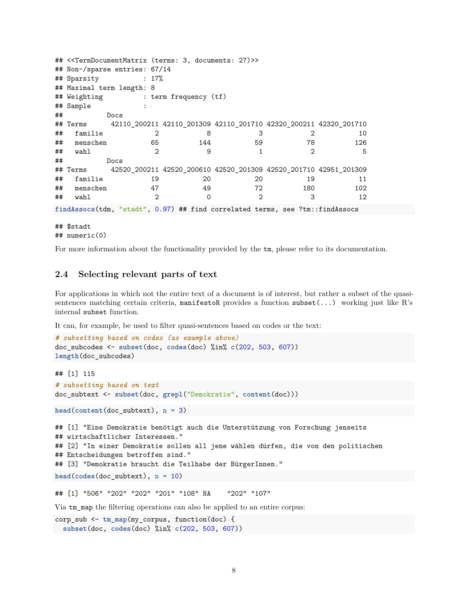```
## <<TermDocumentMatrix (terms: 3, documents: 27)>>
## Non-/sparse entries: 67/14
## Sparsity : 17%
## Maximal term length: 8
## Weighting : term frequency (tf)
## Sample :
## Docs
## Terms 42110_200211 42110_201309 42110_201710 42320_200211 42320_201710
## familie 2 8 3 2 10
## menschen 65 144 59 78 126
## wahl 2 9 1 2 5
## Docs
## Terms 42520_200211 42520_200610 42520_201309 42520_201710 42951_201309
## familie 19 20 20 19 11
## menschen 47 49 72 180 102
## wahl 2 0 2 3 12
findAssocs(tdm, "stadt", 0.97) ## find correlated terms, see ?tm::findAssocs
```
## \$stadt ## numeric(0)

For more information about the functionality provided by the tm, please refer to its [documentation.](https://cran.r-project.org/web/packages/tm/vignettes/tm.pdf)

#### <span id="page-7-0"></span>**2.4 Selecting relevant parts of text**

For applications in which not the entire text of a document is of interest, but rather a subset of the quasisentences matching certain criteria, manifestoR provides a function subset(...) working just like R's internal subset function.

It can, for example, be used to filter quasi-sentences based on codes or the text:

```
# subsetting based on codes (as example above)
doc_subcodes <- subset(doc, codes(doc) %in% c(202, 503, 607))
length(doc_subcodes)
## [1] 115
# subsetting based on text
doc_subtext <- subset(doc, grepl("Demokratie", content(doc)))
head(content(doc_subtext), n = 3)
## [1] "Eine Demokratie benötigt auch die Unterstützung von Forschung jenseits
## wirtschaftlicher Interessen."
## [2] "In einer Demokratie sollen all jene wählen dürfen, die von den politischen
## Entscheidungen betroffen sind."
## [3] "Demokratie braucht die Teilhabe der BürgerInnen."
head(codes(docsubtext), n = 10)## [1] "506" "202" "202" "201" "108" NA "202" "107"
```
Via tm\_map the filtering operations can also be applied to an entire corpus:

```
corp_sub <- tm_map(my_corpus, function(doc) {
 subset(doc, codes(doc) %in% c(202, 503, 607))
```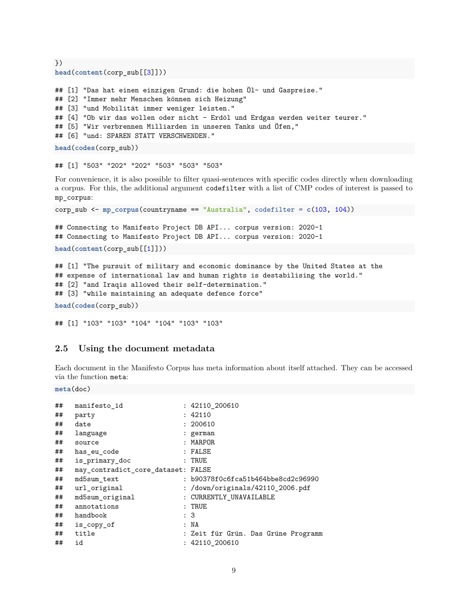```
})
head(content(corp_sub[[3]]))
## [1] "Das hat einen einzigen Grund: die hohen Öl- und Gaspreise."
## [2] "Immer mehr Menschen können sich Heizung"
## [3] "und Mobilität immer weniger leisten."
## [4] "Ob wir das wollen oder nicht – Erdöl und Erdgas werden weiter teurer."
## [5] "Wir verbrennen Milliarden in unseren Tanks und Öfen,"
## [6] "und: SPAREN STATT VERSCHWENDEN."
head(codes(corp_sub))
```
## [1] "503" "202" "202" "503" "503" "503"

For convenience, it is also possible to filter quasi-sentences with specific codes directly when downloading a corpus. For this, the additional argument codefilter with a list of CMP codes of interest is passed to mp\_corpus:

corp\_sub <- **mp\_corpus**(countryname == "Australia", codefilter = **c**(103, 104))

```
## Connecting to Manifesto Project DB API... corpus version: 2020-1
## Connecting to Manifesto Project DB API... corpus version: 2020-1
head(content(corp_sub[[1]]))
```

```
## [1] "The pursuit of military and economic dominance by the United States at the
## expense of international law and human rights is destabilising the world."
## [2] "and Iraqis allowed their self-determination."
## [3] "while maintaining an adequate defence force"
```

```
head(codes(corp_sub))
```

```
## [1] "103" "103" "104" "104" "103" "103"
```
#### <span id="page-8-0"></span>**2.5 Using the document metadata**

Each document in the Manifesto Corpus has meta information about itself attached. They can be accessed via the function meta:

```
meta(doc)
```

| manifesto id    | : 42110_200610                      |
|-----------------|-------------------------------------|
| party           | : 42110                             |
| date            | : 200610                            |
| language        | : german                            |
| source          | : MARPOR                            |
| has eu code     | : FALSE                             |
| is primary doc  | $:$ TRUE                            |
|                 |                                     |
| md5sum text     | : b90378f0c6fca51b464bbe8cd2c96990  |
| url original    | : /down/originals/42110 2006.pdf    |
| md5sum original | : CURRENTLY_UNAVAILABLE             |
| annotations     | $:$ TRUE                            |
| handbook        | : 3                                 |
| is_copy_of      | : NA                                |
| title           | : Zeit für Grün. Das Grüne Programm |
| id              | : 42110_200610                      |
|                 | may contradict core dataset: FALSE  |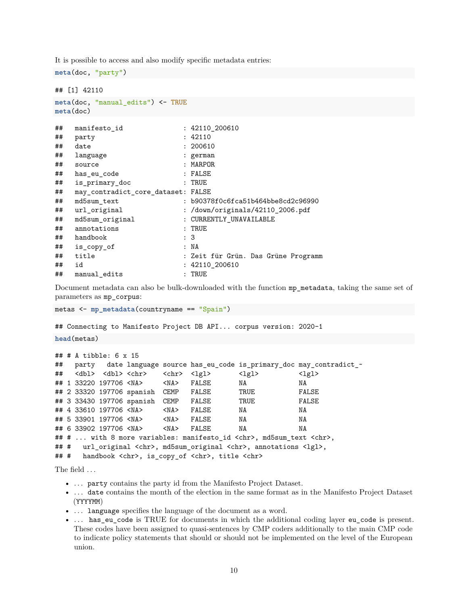It is possible to access and also modify specific metadata entries:

```
meta(doc, "party")
## [1] 42110
meta(doc, "manual_edits") <- TRUE
meta(doc)
## manifesto_id : 42110_200610
## party : 42110
## date : 200610
## language : german
## source : MARPOR
## has eu code : FALSE
## is_primary_doc : TRUE
## may_contradict_core_dataset: FALSE
## md5sum_text : b90378f0c6fca51b464bbe8cd2c96990
## url_original : /down/originals/42110_2006.pdf
## md5sum original : CURRENTLY UNAVAILABLE
## annotations : TRUE
## handbook : 3
## is_copy_of : NA
## title : Zeit für Grün. Das Grüne Programm
## id : 42110_200610
## manual_edits : TRUE
```
Document metadata can also be bulk-downloaded with the function mp\_metadata, taking the same set of parameters as mp\_corpus:

```
metas <- mp_metadata(countryname == "Spain")
```
## Connecting to Manifesto Project DB API... corpus version: 2020-1

**head**(metas)

```
## # A tibble: 6 x 15
## party date language source has_eu_code is_primary_doc may_contradict_~
## <dbl> <dbl> <chr> <chr> <lgl> <lgl> <lgl>
## 1 33220 197706 <NA> <NA> FALSE NA NA
## 2 33320 197706 spanish CEMP FALSE TRUE FALSE
## 3 33430 197706 spanish CEMP FALSE TRUE FALSE
## 4 33610 197706 <NA> <NA> FALSE NA NA
## 5 33901 197706 <NA> <NA> FALSE NA NA
## 6 33902 197706 <NA> <NA> FALSE NA NA
## # ... with 8 more variables: manifesto_id <chr>, md5sum_text <chr>,
## # url_original <chr>, md5sum_original <chr>, annotations <lgl>,
## # handbook <chr>, is_copy_of <chr>, title <chr>
```
The field . . .

- ... party contains the party id from the Manifesto Project Dataset.
- . . . date contains the month of the election in the same format as in the Manifesto Project Dataset (YYYYMM)
- ... language specifies the language of the document as a word.
- ... has\_eu\_code is TRUE for documents in which the additional coding layer eu\_code is present. These codes have been assigned to quasi-sentences by CMP coders additionally to the main CMP code to indicate policy statements that should or should not be implemented on the level of the European union.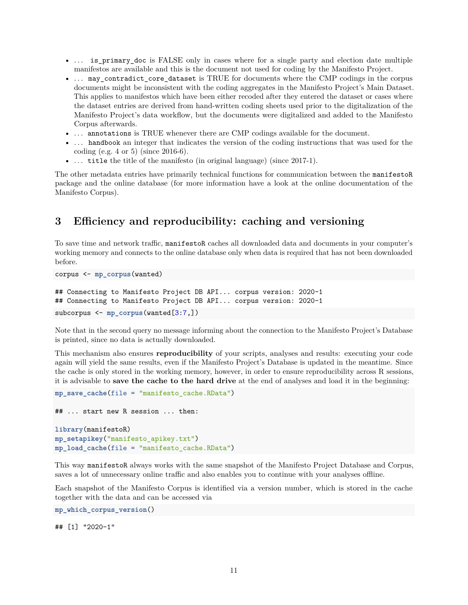- ... is primary doc is FALSE only in cases where for a single party and election date multiple manifestos are available and this is the document not used for coding by the Manifesto Project.
- ... may contradict core dataset is TRUE for documents where the CMP codings in the corpus documents might be inconsistent with the coding aggregates in the Manifesto Project's Main Dataset. This applies to manifestos which have been either recoded after they entered the dataset or cases where the dataset entries are derived from hand-written coding sheets used prior to the digitalization of the Manifesto Project's data workflow, but the documents were digitalized and added to the Manifesto Corpus afterwards.
- ... annotations is TRUE whenever there are CMP codings available for the document.
- ... handbook an integer that indicates the version of the coding instructions that was used for the coding (e.g. 4 or 5) (since 2016-6).
- ... title the title of the manifesto (in original language) (since 2017-1).

The other metadata entries have primarily technical functions for communication between the manifestoR package and the online database (for more information have a look at the online documentation of the [Manifesto Corpus\)](https://manifesto-project.wzb.eu/information/documents/corpus).

## <span id="page-10-1"></span><span id="page-10-0"></span>**3 Efficiency and reproducibility: caching and versioning**

To save time and network traffic, manifestoR caches all downloaded data and documents in your computer's working memory and connects to the online database only when data is required that has not been downloaded before.

corpus <- **mp\_corpus**(wanted)

```
## Connecting to Manifesto Project DB API... corpus version: 2020-1
## Connecting to Manifesto Project DB API... corpus version: 2020-1
subcorpus \leq mp corpus (wanted[3:7,])
```
Note that in the second query no message informing about the connection to the Manifesto Project's Database is printed, since no data is actually downloaded.

This mechanism also ensures **reproducibility** of your scripts, analyses and results: executing your code again will yield the same results, even if the Manifesto Project's Database is updated in the meantime. Since the cache is only stored in the working memory, however, in order to ensure reproducibility across R sessions, it is advisable to **save the cache to the hard drive** at the end of analyses and load it in the beginning:

```
mp_save_cache(file = "manifesto_cache.RData")
```

```
## ... start new R session ... then:
library(manifestoR)
mp_setapikey("manifesto_apikey.txt")
mp_load_cache(file = "manifesto_cache.RData")
```
This way manifestoR always works with the same snapshot of the Manifesto Project Database and Corpus, saves a lot of unnecessary online traffic and also enables you to continue with your analyses offline.

Each snapshot of the Manifesto Corpus is identified via a version number, which is stored in the cache together with the data and can be accessed via

```
mp_which_corpus_version()
```
## [1] "2020-1"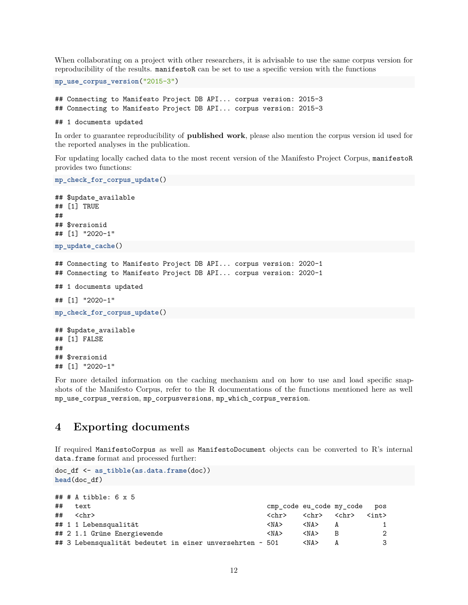When collaborating on a project with other researchers, it is advisable to use the same corpus version for reproducibility of the results. manifestoR can be set to use a specific version with the functions

**mp\_use\_corpus\_version**("2015-3")

## Connecting to Manifesto Project DB API... corpus version: 2015-3 ## Connecting to Manifesto Project DB API... corpus version: 2015-3

## 1 documents updated

In order to guarantee reproducibility of **published work**, please also mention the corpus version id used for the reported analyses in the publication.

For updating locally cached data to the most recent version of the Manifesto Project Corpus, manifestoR provides two functions:

```
mp_check_for_corpus_update()
## $update_available
## [1] TRUE
##
## $versionid
## [1] "2020-1"
mp_update_cache()
## Connecting to Manifesto Project DB API... corpus version: 2020-1
## Connecting to Manifesto Project DB API... corpus version: 2020-1
## 1 documents updated
## [1] "2020-1"
mp_check_for_corpus_update()
## $update_available
## [1] FALSE
##
## $versionid
```
For more detailed information on the caching mechanism and on how to use and load specific snapshots of the Manifesto Corpus, refer to the R documentations of the functions mentioned here as well mp\_use\_corpus\_version, mp\_corpusversions, mp\_which\_corpus\_version.

## <span id="page-11-0"></span>**4 Exporting documents**

## [1] "2020-1"

If required ManifestoCorpus as well as ManifestoDocument objects can be converted to R's internal data.frame format and processed further:

```
doc_df <- as_tibble(as.data.frame(doc))
head(doc_df)
```

```
## # A tibble: 6 x 5
## text cmp_code eu_code my_code pos
## <chr> <chr> <chr> <chr> <chr> <chr> <chr> <chr> <int> </r> </rn> </rn
## 1 1 Lebensqualität <NA> <NA> A 1
## 2 1.1 Grüne Energiewende <NA> <NA> B 2
## 3 Lebensqualität bedeutet in einer unversehrten ~ 501 <NA> A 3
```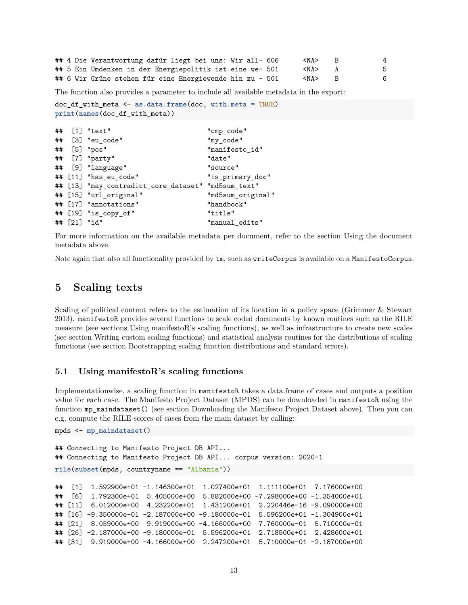|  | ## 4 Die Verantwortung dafür liegt bei uns: Wir all~ 606 |  | <na></na> | 4  |
|--|----------------------------------------------------------|--|-----------|----|
|  | ## 5 Ein Umdenken in der Energiepolitik ist eine we~ 501 |  | <na></na> | 5. |
|  | ## 6 Wir Grüne stehen für eine Energiewende hin zu ~ 501 |  | <na></na> | 6  |

The function also provides a parameter to include all available metadata in the export:

```
doc_df_with_meta <- as.data.frame(doc, with.meta = TRUE)
print(names(doc_df_with_meta))
```

```
## [1] "text" "cmp_code"
## [3] "eu_code" "my_code"
## [5] "pos" "manifesto_id"
## [7] "party" "date"
## [9] "language" "source"
## [11] "has_eu_code" "is_primary_doc"
## [13] "may_contradict_core_dataset" "md5sum_text"
## [15] "url_original" "md5sum_original"
## [17] "annotations" "handbook"
## [19] "is_copy_of" "title"
## [21] "id" "manual_edits"
```
For more information on the available metadata per document, refer to the section [Using the document](#page-8-1) [metadata](#page-8-1) above.

<span id="page-12-3"></span>Note again that also all functionality provided by tm, such as writeCorpus is available on a ManifestoCorpus.

## <span id="page-12-0"></span>**5 Scaling texts**

Scaling of political content refers to the estimation of its location in a policy space (Grimmer & Stewart 2013). manifestoR provides several functions to scale coded documents by known routines such as the RILE measure (see sections [Using manifestoR's scaling functions\)](#page-12-2), as well as infrastructure to create new scales (see section [Writing custom scaling functions\)](#page-13-1) and statistical analysis routines for the distributions of scaling functions (see section [Bootstrapping scaling function distributions and standard errors\)](#page-14-1).

#### <span id="page-12-2"></span><span id="page-12-1"></span>**5.1 Using manifestoR's scaling functions**

Implementationwise, a scaling function in manifestoR takes a data.frame of cases and outputs a position value for each case. The Manifesto Project Dataset (MPDS) can be downloaded in manifestoR using the function mp\_maindataset() (see section [Downloading the Manifesto Project Dataset](#page-1-6) above). Then you can e.g. compute the RILE scores of cases from the main dataset by calling:

```
mpds <- mp_maindataset()
```

```
## Connecting to Manifesto Project DB API...
## Connecting to Manifesto Project DB API... corpus version: 2020-1
rile(subset(mpds, countryname == "Albania"))
## [1] 1.592900e+01 -1.146300e+01 1.027400e+01 1.111100e+01 7.176000e+00
## [6] 1.792300e+01 5.405000e+00 5.882000e+00 -7.298000e+00 -1.354000e+01
## [11] 6.012000e+00 4.232200e+01 1.431200e+01 2.220446e-16 -9.090000e+00
## [16] -9.350000e-01 -2.187000e+00 -9.180000e-01 5.596200e+01 -1.304900e+01
## [21] 8.059000e+00 9.919000e+00 -4.166000e+00 7.760000e-01 5.710000e-01
## [26] -2.187000e+00 -9.180000e-01 5.596200e+01 2.718500e+01 2.428600e+01
## [31] 9.919000e+00 -4.166000e+00 2.247200e+01 5.710000e-01 -2.187000e+00
```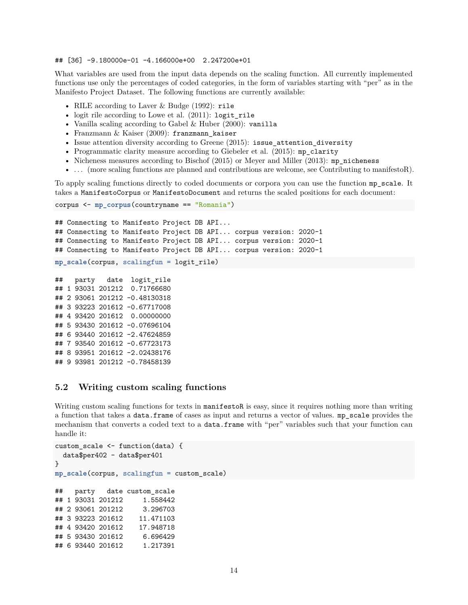#### ## [36] -9.180000e-01 -4.166000e+00 2.247200e+01

What variables are used from the input data depends on the scaling function. All currently implemented functions use only the percentages of coded categories, in the form of variables starting with "per" as in the Manifesto Project Dataset. The following functions are currently available:

- RILE according to Laver & Budge (1992): rile
- logit rile according to Lowe et al. (2011): logit rile
- Vanilla scaling according to Gabel & Huber (2000): vanilla
- Franzmann  $\&$  Kaiser (2009): franzmann kaiser
- Issue attention diversity according to Greene (2015): issue\_attention\_diversity
- Programmatic clarity measure according to Giebeler et al. (2015): mp\_clarity
- Nicheness measures according to Bischof (2015) or Meyer and Miller (2013): mp\_nicheness
- ... (more scaling functions are planned and contributions are welcome, see [Contributing to manifestoR\)](#page-16-3).

To apply scaling functions directly to coded documents or corpora you can use the function mp\_scale. It takes a ManifestoCorpus or ManifestoDocument and returns the scaled positions for each document:

```
corpus <- mp_corpus(countryname == "Romania")
## Connecting to Manifesto Project DB API...
## Connecting to Manifesto Project DB API... corpus version: 2020-1
## Connecting to Manifesto Project DB API... corpus version: 2020-1
## Connecting to Manifesto Project DB API... corpus version: 2020-1
mp_scale(corpus, scalingfun = logit_rile)
```
## party date logit\_rile ## 1 93031 201212 0.71766680 ## 2 93061 201212 -0.48130318 ## 3 93223 201612 -0.67717008 ## 4 93420 201612 0.00000000 ## 5 93430 201612 -0.07696104 ## 6 93440 201612 -2.47624859 ## 7 93540 201612 -0.67723173 ## 8 93951 201612 -2.02438176 ## 9 93981 201212 -0.78458139

#### <span id="page-13-1"></span><span id="page-13-0"></span>**5.2 Writing custom scaling functions**

Writing custom scaling functions for texts in manifestoR is easy, since it requires nothing more than writing a function that takes a data.frame of cases as input and returns a vector of values. mp\_scale provides the mechanism that converts a coded text to a data.frame with "per" variables such that your function can handle it:

```
custom_scale <- function(data) {
 data$per402 - data$per401
}
mp_scale(corpus, scalingfun = custom_scale)
## party date custom_scale
## 1 93031 201212 1.558442
## 2 93061 201212 3.296703
## 3 93223 201612 11.471103
## 4 93420 201612 17.948718
## 5 93430 201612 6.696429
## 6 93440 201612 1.217391
```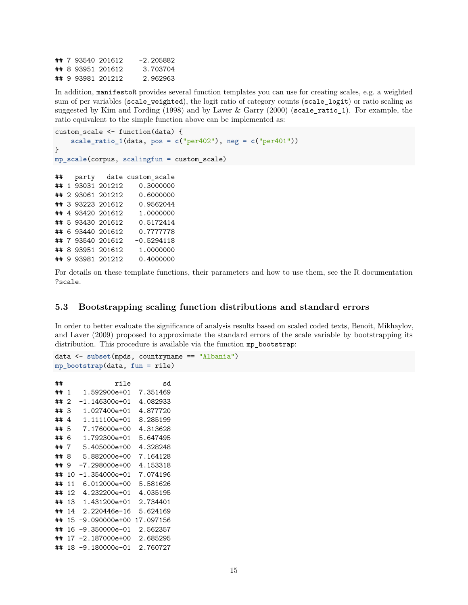## 7 93540 201612 -2.205882 ## 8 93951 201612 3.703704 ## 9 93981 201212 2.962963

In addition, manifestoR provides several function templates you can use for creating scales, e.g. a weighted sum of per variables (scale\_weighted), the logit ratio of category counts (scale\_logit) or ratio scaling as suggested by Kim and Fording (1998) and by Laver & Garry (2000) (scale ratio 1). For example, the ratio equivalent to the simple function above can be implemented as:

```
custom_scale <- function(data) {
   scale_ratio_1(data, pos = c("per402"), neg = c("per401"))
}
mp_scale(corpus, scalingfun = custom_scale)
## party date custom_scale
## 1 93031 201212 0.3000000
## 2 93061 201212 0.6000000
## 3 93223 201612 0.9562044
## 4 93420 201612 1.0000000
## 5 93430 201612 0.5172414
## 6 93440 201612 0.7777778
## 7 93540 201612 -0.5294118
## 8 93951 201612 1.0000000
## 9 93981 201212 0.4000000
```
<span id="page-14-1"></span>For details on these template functions, their parameters and how to use them, see the R documentation ?scale.

### <span id="page-14-0"></span>**5.3 Bootstrapping scaling function distributions and standard errors**

In order to better evaluate the significance of analysis results based on scaled coded texts, Benoit, Mikhaylov, and Laver (2009) proposed to approximate the standard errors of the scale variable by bootstrapping its distribution. This procedure is available via the function mp\_bootstrap:

```
data <- subset(mpds, countryname == "Albania")
mp_bootstrap(data, fun = rile)
## rile sd
## 1 1.592900e+01 7.351469
## 2 -1.146300e+01 4.082933
## 3 1.027400e+01 4.877720
## 4 1.111100e+01 8.285199
## 5 7.176000e+00 4.313628
## 6 1.792300e+01 5.647495
## 7 5.405000e+00 4.328248
## 8 5.882000e+00 7.164128
## 9 -7.298000e+00 4.153318
## 10 -1.354000e+01 7.074196
## 11 6.012000e+00 5.581626
## 12 4.232200e+01 4.035195
## 13 1.431200e+01 2.734401
## 14 2.220446e-16 5.624169
## 15 -9.090000e+00 17.097156
## 16 -9.350000e-01 2.562357
## 17 -2.187000e+00 2.685295
## 18 -9.180000e-01 2.760727
```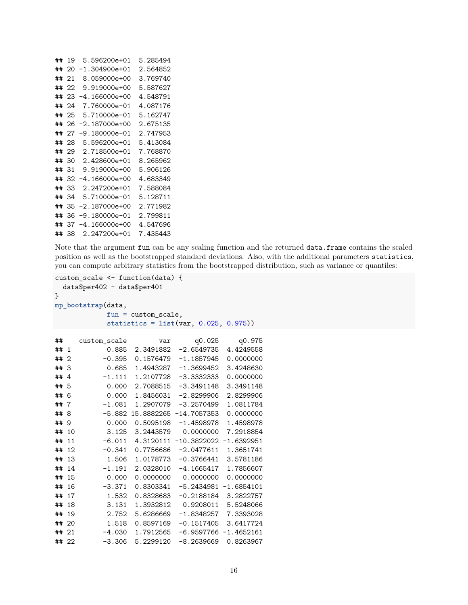| ## | 19 | 5.596200e+01    | 5.285494 |
|----|----|-----------------|----------|
| ## | 20 | -1.304900e+01   | 2.564852 |
| ## | 21 | 8.059000e+00    | 3.769740 |
| ## | 22 | 9.919000e+00    | 5.587627 |
| ## | 23 | -4.166000e+00   | 4.548791 |
| ## | 24 | 7.760000e-01    | 4.087176 |
| ## | 25 | 5.710000e-01    | 5.162747 |
| ## | 26 | $-2.187000e+00$ | 2.675135 |
| ## | 27 | -9.180000e-01   | 2.747953 |
| ## | 28 | 5.596200e+01    | 5.413084 |
| ## | 29 | 2.718500e+01    | 7.768870 |
| ## | 30 | 2.428600e+01    | 8.265962 |
| ## | 31 | 9.919000e+00    | 5.906126 |
| ## | 32 | -4.166000e+00   | 4.683349 |
| ## | 33 | 2.247200e+01    | 7.588084 |
| ## | 34 | 5.710000e-01    | 5.128711 |
| ## | 35 | -2.187000e+00   | 2.771982 |
| ## | 36 | -9.180000e-01   | 2.799811 |
| ## | 37 | -4.166000e+00   | 4.547696 |
| ## | 38 | 2.247200e+01    | 7.435443 |
|    |    |                 |          |

Note that the argument fun can be any scaling function and the returned data.frame contains the scaled position as well as the bootstrapped standard deviations. Also, with the additional parameters statistics, you can compute arbitrary statistics from the bootstrapped distribution, such as variance or quantiles:

```
custom_scale <- function(data) {
  data$per402 - data$per401
}
mp_bootstrap(data,
             fun = custom_scale,
```

```
statistics = list(var, 0.025, 0.975))
```

| ##    |              | custom_scale | var       | q0.025                   | q0.975       |
|-------|--------------|--------------|-----------|--------------------------|--------------|
| ##    | $\mathbf{1}$ | 0.885        | 2.3491882 | -2.6549735               | 4.4249558    |
| ##    | 2            | $-0.395$     | 0.1576479 | $-1.1857945$             | 0.0000000    |
| ##    | 3            | 0.685        | 1.4943287 | $-1.3699452$             | 3.4248630    |
| ##    | 4            | $-1.111$     | 1.2107728 | $-3.3332333$             | 0.0000000    |
| ##    | -5           | 0.000        | 2.7088515 | $-3.3491148$             | 3.3491148    |
| ##    | 6            | 0.000        | 1.8456031 | $-2.8299906$             | 2.8299906    |
| ##    | 7            | $-1.081$     | 1.2907079 | $-3.2570499$             | 1.0811784    |
| ##    | 8            | $-5.882$     |           | 15.8882265 -14.7057353   | 0.0000000    |
| ##    | 9            | 0.000        | 0.5095198 | $-1.4598978$             | 1.4598978    |
| ##    | 10           | 3.125        | 3.2443579 | 0.0000000                | 7.2918854    |
| ##    | 11           | $-6.011$     | 4.3120111 | $-10.3822022 -1.6392951$ |              |
| ##    | 12           | $-0.341$     | 0.7756686 | $-2.0477611$             | 1.3651741    |
| ##    | 13           | 1.506        | 1.0178773 | $-0.3766441$             | 3.5781186    |
| ##    | 14           | $-1.191$     | 2.0328010 | $-4.1665417$             | 1.7856607    |
| ##    | 15           | 0.000        | 0.0000000 | 0.0000000                | 0.0000000    |
| ##    | 16           | $-3.371$     | 0.8303341 | $-5.2434981$             | $-1.6854101$ |
| ##    | 17           | 1.532        | 0.8328683 | $-0.2188184$             | 3.2822757    |
| ##    | 18           | 3.131        | 1.3932812 | 0.9208011                | 5.5248066    |
| ##    | 19           | 2.752        | 5.6286669 | $-1.8348257$             | 7.3393028    |
| ##    | 20           | 1.518        | 0.8597169 | $-0.1517405$             | 3.6417724    |
| ##    | 21           | $-4.030$     | 1.7912565 | $-6.9597766$             | $-1.4652161$ |
| ## 22 |              | $-3.306$     | 5.2299120 | $-8.2639669$             | 0.8263967    |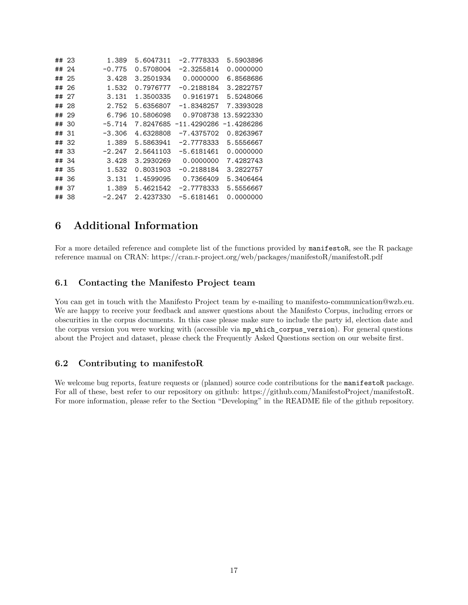|       | ## 23 | 1.389    | 5.6047311  | -2.7778333   | 5.5903896  |
|-------|-------|----------|------------|--------------|------------|
|       | ## 24 | $-0.775$ | 0.5708004  | -2.3255814   | 0.0000000  |
|       | ## 25 | 3.428    | 3.2501934  | 0.0000000    | 6.8568686  |
| ##    | -26   | 1.532    | 0.7976777  | $-0.2188184$ | 3.2822757  |
|       | ## 27 | 3.131    | 1.3500335  | 0.9161971    | 5.5248066  |
|       | ## 28 | 2.752    | 5.6356807  | $-1.8348257$ | 7.3393028  |
|       | ## 29 | 6.796    | 10.5806098 | 0.9708738    | 13.5922330 |
|       | ## 30 | $-5.714$ | 7.8247685  | -11.4290286  | -1.4286286 |
| ## 31 |       | $-3.306$ | 4.6328808  | $-7.4375702$ | 0.8263967  |
|       | ## 32 | 1.389    | 5.5863941  | $-2.7778333$ | 5.5556667  |
|       | ## 33 | $-2.247$ | 2.5641103  | $-5.6181461$ | 0.0000000  |
|       | ## 34 | 3.428    | 3.2930269  | 0.0000000    | 7.4282743  |
| ##    | -35   | 1.532    | 0.8031903  | $-0.2188184$ | 3.2822757  |
|       | ## 36 | 3.131    | 1.4599095  | 0.7366409    | 5.3406464  |
|       | ## 37 | 1.389    | 5.4621542  | $-2.7778333$ | 5.5556667  |
|       | ## 38 | $-2.247$ | 2.4237330  | $-5.6181461$ | 0.0000000  |

## <span id="page-16-0"></span>**6 Additional Information**

For a more detailed reference and complete list of the functions provided by manifestoR, see the R package reference manual on CRAN:<https://cran.r-project.org/web/packages/manifestoR/manifestoR.pdf>

#### <span id="page-16-1"></span>**6.1 Contacting the Manifesto Project team**

You can get in touch with the Manifesto Project team by e-mailing to [manifesto-communication@wzb.eu.](mailto:manifesto-communication@wzb.eu) We are happy to receive your feedback and answer questions about the Manifesto Corpus, including errors or obscurities in the corpus documents. In this case please make sure to include the party id, election date and the corpus version you were working with (accessible via mp\_which\_corpus\_version). For general questions about the Project and dataset, please check the [Frequently Asked Questions](https://manifesto-project.wzb.eu/questions) section on our website first.

### <span id="page-16-3"></span><span id="page-16-2"></span>**6.2 Contributing to manifestoR**

We welcome bug reports, feature requests or (planned) source code contributions for the manifestoR package. For all of these, best refer to our repository on github: [https://github.com/ManifestoProject/manifestoR.](https://github.com/ManifestoProject/manifestoR) For more information, please refer to the Section "Developing" in the README file of the github repository.